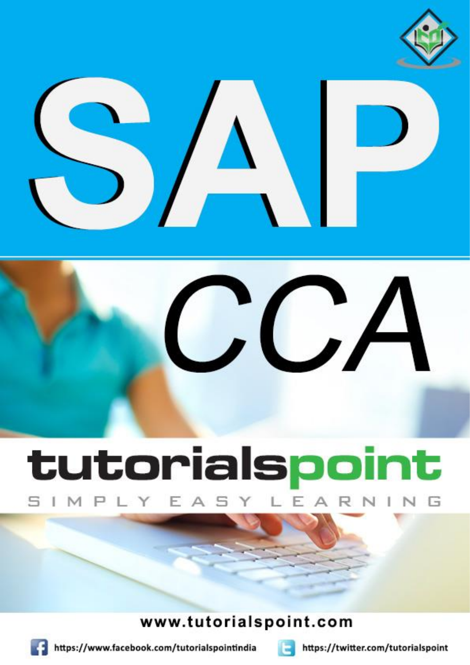





# tutorialspoint LEA SIMPLY EAS R N

Y

# www.tutorialspoint.com



https://www.facebook.com/tutorialspointindia



https://twitter.com/tutorialspoint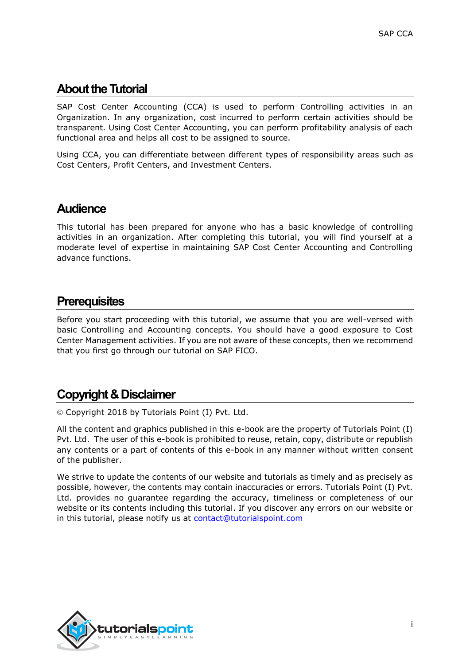## **About the Tutorial**

SAP Cost Center Accounting (CCA) is used to perform Controlling activities in an Organization. In any organization, cost incurred to perform certain activities should be transparent. Using Cost Center Accounting, you can perform profitability analysis of each functional area and helps all cost to be assigned to source.

Using CCA, you can differentiate between different types of responsibility areas such as Cost Centers, Profit Centers, and Investment Centers.

### **Audience**

This tutorial has been prepared for anyone who has a basic knowledge of controlling activities in an organization. After completing this tutorial, you will find yourself at a moderate level of expertise in maintaining SAP Cost Center Accounting and Controlling advance functions.

## **Prerequisites**

Before you start proceeding with this tutorial, we assume that you are well-versed with basic Controlling and Accounting concepts. You should have a good exposure to Cost Center Management activities. If you are not aware of these concepts, then we recommend that you first go through our tutorial on SAP FICO.

## **Copyright & Disclaimer**

Copyright 2018 by Tutorials Point (I) Pvt. Ltd.

All the content and graphics published in this e-book are the property of Tutorials Point (I) Pvt. Ltd. The user of this e-book is prohibited to reuse, retain, copy, distribute or republish any contents or a part of contents of this e-book in any manner without written consent of the publisher.

We strive to update the contents of our website and tutorials as timely and as precisely as possible, however, the contents may contain inaccuracies or errors. Tutorials Point (I) Pvt. Ltd. provides no guarantee regarding the accuracy, timeliness or completeness of our website or its contents including this tutorial. If you discover any errors on our website or in this tutorial, please notify us at [contact@tutorialspoint.com](mailto:contact@tutorialspoint.com)

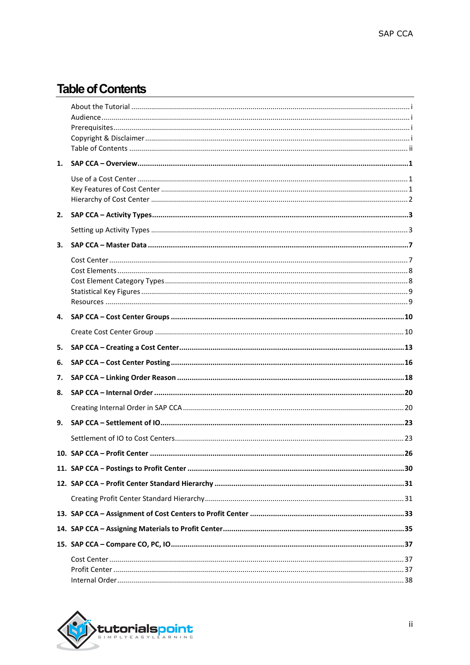# **Table of Contents**

| 1. |  |
|----|--|
|    |  |
| 2. |  |
|    |  |
| 3. |  |
|    |  |
| 4. |  |
|    |  |
| 5. |  |
| 6. |  |
| 7. |  |
| 8. |  |
|    |  |
| 9. |  |
|    |  |
|    |  |
|    |  |
|    |  |
|    |  |
|    |  |
|    |  |
|    |  |
|    |  |

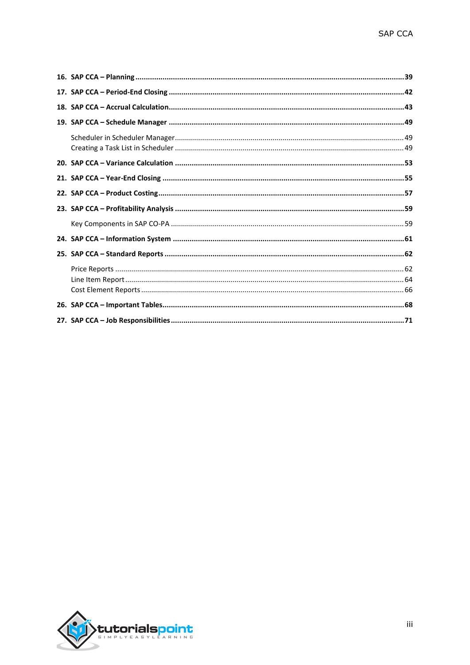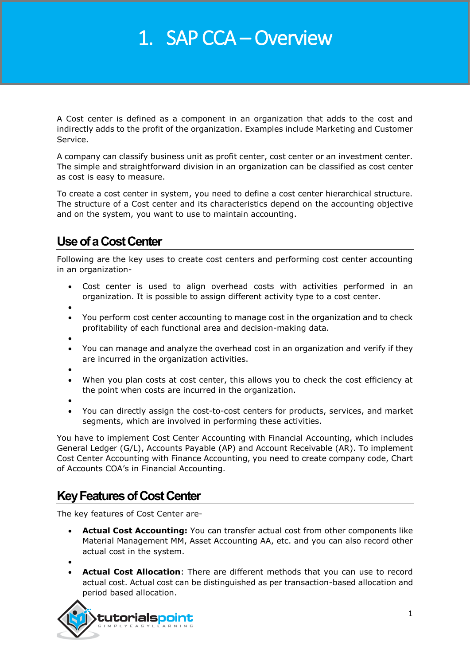# 1. SAP CCA – Overview

A Cost center is defined as a component in an organization that adds to the cost and indirectly adds to the profit of the organization. Examples include Marketing and Customer Service.

A company can classify business unit as profit center, cost center or an investment center. The simple and straightforward division in an organization can be classified as cost center as cost is easy to measure.

To create a cost center in system, you need to define a cost center hierarchical structure. The structure of a Cost center and its characteristics depend on the accounting objective and on the system, you want to use to maintain accounting.

# **Use of a Cost Center**

Following are the key uses to create cost centers and performing cost center accounting in an organization-

- Cost center is used to align overhead costs with activities performed in an organization. It is possible to assign different activity type to a cost center.
- $\bullet$
- You perform cost center accounting to manage cost in the organization and to check profitability of each functional area and decision-making data.
- $\bullet$
- You can manage and analyze the overhead cost in an organization and verify if they are incurred in the organization activities.
- $\bullet$
- When you plan costs at cost center, this allows you to check the cost efficiency at the point when costs are incurred in the organization.
- $\bullet$
- You can directly assign the cost-to-cost centers for products, services, and market segments, which are involved in performing these activities.

You have to implement Cost Center Accounting with Financial Accounting, which includes General Ledger (G/L), Accounts Payable (AP) and Account Receivable (AR). To implement Cost Center Accounting with Finance Accounting, you need to create company code, Chart of Accounts COA's in Financial Accounting.

# **Key Features of Cost Center**

The key features of Cost Center are-

 **Actual Cost Accounting:** You can transfer actual cost from other components like Material Management MM, Asset Accounting AA, etc. and you can also record other actual cost in the system.

 $\bullet$ 

 **Actual Cost Allocation**: There are different methods that you can use to record actual cost. Actual cost can be distinguished as per transaction-based allocation and period based allocation.

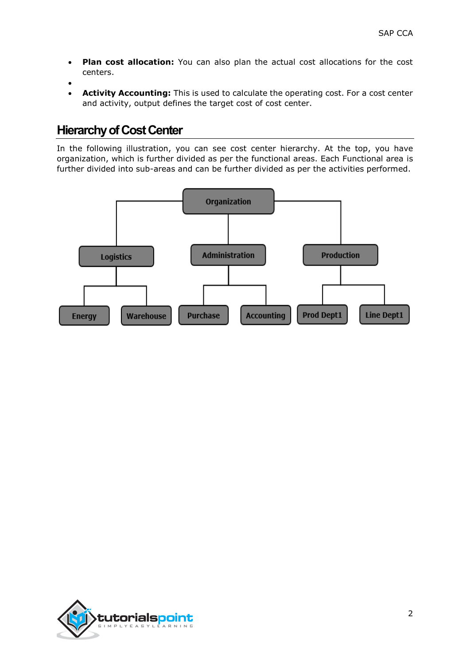- **Plan cost allocation:** You can also plan the actual cost allocations for the cost centers.
- $\bullet$
- **Activity Accounting:** This is used to calculate the operating cost. For a cost center and activity, output defines the target cost of cost center.

## **Hierarchy of Cost Center**

In the following illustration, you can see cost center hierarchy. At the top, you have organization, which is further divided as per the functional areas. Each Functional area is further divided into sub-areas and can be further divided as per the activities performed.



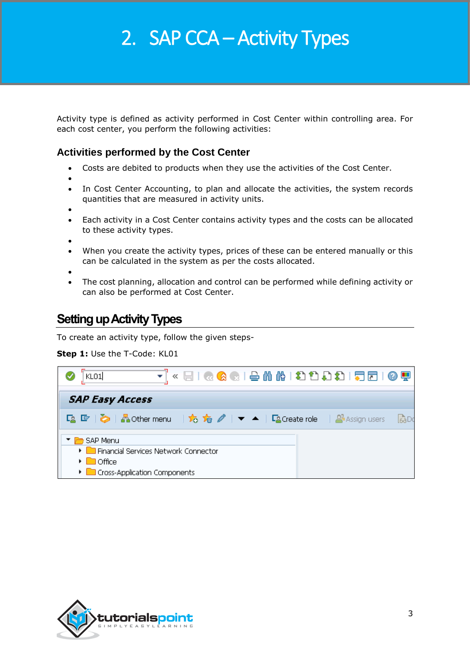# 2. SAP CCA – Activity Types

Activity type is defined as activity performed in Cost Center within controlling area. For each cost center, you perform the following activities:

### **Activities performed by the Cost Center**

- Costs are debited to products when they use the activities of the Cost Center.
- $\bullet$
- In Cost Center Accounting, to plan and allocate the activities, the system records quantities that are measured in activity units.
- $\bullet$
- Each activity in a Cost Center contains activity types and the costs can be allocated to these activity types.

 $\bullet$ 

 When you create the activity types, prices of these can be entered manually or this can be calculated in the system as per the costs allocated.

 $\bullet$ 

 The cost planning, allocation and control can be performed while defining activity or can also be performed at Cost Center.

# **Setting up Activity Types**

To create an activity type, follow the given steps-

#### **Step 1: Use the T-Code: KL01**

| KLO1                                                             | न « ⊟ I ⊗ ⊗ G I ≙ N N 1 8 1 8 8 I 5 1 0 5 |  |  |  |  |       |
|------------------------------------------------------------------|-------------------------------------------|--|--|--|--|-------|
| <b>SAP Easy Access</b>                                           |                                           |  |  |  |  |       |
| 「2 『 》 Acther menu   ☆ ☆ ∥ ▼ ▲   『2 Create role   2 Assign users |                                           |  |  |  |  | LeaDo |
| SAP Menu                                                         |                                           |  |  |  |  |       |
| ▶ Financial Services Network Connector                           |                                           |  |  |  |  |       |
| $\triangleright$ $\blacksquare$ Office                           |                                           |  |  |  |  |       |
| Cross-Application Components                                     |                                           |  |  |  |  |       |

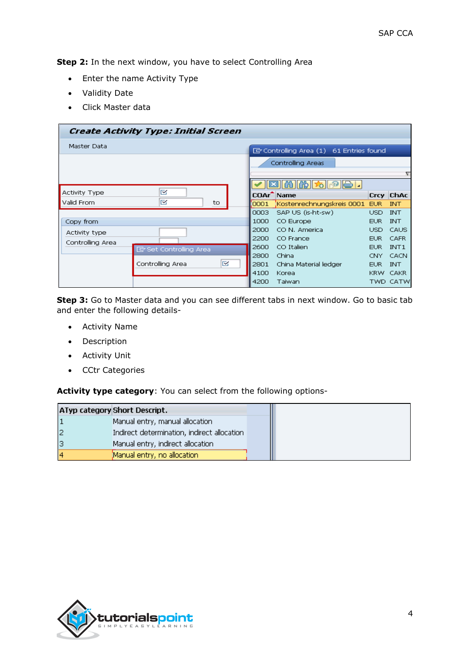**Step 2:** In the next window, you have to select Controlling Area

- Enter the name Activity Type
- Validity Date
- Click Master data

|                      | Create Activity Type: Initial Screen |      |                                            |             |                  |
|----------------------|--------------------------------------|------|--------------------------------------------|-------------|------------------|
| Master Data          |                                      |      | [cm] Controlling Area (1) 61 Entries found |             |                  |
|                      |                                      |      | Controlling Areas                          |             |                  |
|                      |                                      |      |                                            |             |                  |
|                      | ⊠                                    |      | 的脸肉                                        |             |                  |
| <b>Activity Type</b> |                                      |      | COAr <sup>-</sup> Name                     | <b>Crcy</b> | $ $ ChAc         |
| Valid From           | ⊠<br>to                              | 0001 | Kostenrechnungskreis 0001,                 | EUR.        | <b>INT</b>       |
|                      |                                      | 0003 | SAP US (is-ht-sw)                          | USD.        | <b>INT</b>       |
| Copy from            |                                      | 1000 | CO Europe                                  | <b>EUR</b>  | <b>INT</b>       |
| Activity type        |                                      | 2000 | CO N. America                              | USD.        | CAUS             |
| Controlling Area     |                                      | 2200 | CO France                                  | EUR.        | <b>CAFR</b>      |
|                      | <b>ID</b> Set Controlling Area       | 2600 | CO Italien                                 | EUR.        | INT <sub>1</sub> |
|                      |                                      | 2800 | China                                      | CNY.        | CACN             |
|                      | ⊠<br>Controlling Area                | 2801 | China Material ledger                      | EUR.        | <b>INT</b>       |
|                      |                                      | 4100 | Korea                                      |             | KRW CAKR         |
|                      |                                      | 4200 | Taiwan                                     |             | TWD CATW         |

**Step 3:** Go to Master data and you can see different tabs in next window. Go to basic tab and enter the following details-

- Activity Name
- Description
- Activity Unit
- CCtr Categories

**Activity type category**: You can select from the following options-

|  | ATyp category Short Descript.               |  |  |
|--|---------------------------------------------|--|--|
|  | Manual entry, manual allocation             |  |  |
|  | Indirect determination, indirect allocation |  |  |
|  | Manual entry, indirect allocation           |  |  |
|  | Manual entry, no allocation                 |  |  |

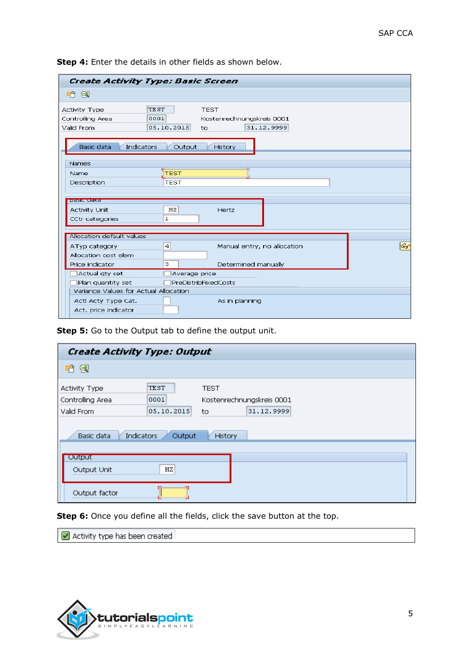| 哈图<br>TEST<br><b>Activity Type</b><br><b>TEST</b><br>0001<br>Kostenrechnungskreis 0001<br>Controlling Area<br>05.10.2015<br>31.12.9999<br>Valid From<br>$t\circ$<br>Basic data<br><b>Indicators</b><br>Output<br><b>History</b><br>Names<br><b>TEST</b><br><b>Name</b><br><b>TEST</b><br>Description<br><b>Basic data</b><br>HZ<br><b>Activity Unit</b><br>Hertz<br>CCtr categories<br>ı<br>Allocation default values<br>ଚିଙ<br>$\overline{4}$<br>Manual entry, no allocation<br>ATyp category<br>Allocation cost elem<br>з<br>Price indicator<br>Determined manually<br>Actual gty set<br>Average price | Create Activity Type: Basic Screen |  |
|----------------------------------------------------------------------------------------------------------------------------------------------------------------------------------------------------------------------------------------------------------------------------------------------------------------------------------------------------------------------------------------------------------------------------------------------------------------------------------------------------------------------------------------------------------------------------------------------------------|------------------------------------|--|
|                                                                                                                                                                                                                                                                                                                                                                                                                                                                                                                                                                                                          |                                    |  |
|                                                                                                                                                                                                                                                                                                                                                                                                                                                                                                                                                                                                          |                                    |  |
|                                                                                                                                                                                                                                                                                                                                                                                                                                                                                                                                                                                                          |                                    |  |
|                                                                                                                                                                                                                                                                                                                                                                                                                                                                                                                                                                                                          |                                    |  |
|                                                                                                                                                                                                                                                                                                                                                                                                                                                                                                                                                                                                          |                                    |  |
|                                                                                                                                                                                                                                                                                                                                                                                                                                                                                                                                                                                                          |                                    |  |
|                                                                                                                                                                                                                                                                                                                                                                                                                                                                                                                                                                                                          |                                    |  |
|                                                                                                                                                                                                                                                                                                                                                                                                                                                                                                                                                                                                          |                                    |  |
|                                                                                                                                                                                                                                                                                                                                                                                                                                                                                                                                                                                                          |                                    |  |
|                                                                                                                                                                                                                                                                                                                                                                                                                                                                                                                                                                                                          |                                    |  |
|                                                                                                                                                                                                                                                                                                                                                                                                                                                                                                                                                                                                          |                                    |  |
|                                                                                                                                                                                                                                                                                                                                                                                                                                                                                                                                                                                                          |                                    |  |
|                                                                                                                                                                                                                                                                                                                                                                                                                                                                                                                                                                                                          |                                    |  |
|                                                                                                                                                                                                                                                                                                                                                                                                                                                                                                                                                                                                          |                                    |  |
|                                                                                                                                                                                                                                                                                                                                                                                                                                                                                                                                                                                                          |                                    |  |
|                                                                                                                                                                                                                                                                                                                                                                                                                                                                                                                                                                                                          |                                    |  |
| PreDistribFixedCosts<br>Plan quantity set                                                                                                                                                                                                                                                                                                                                                                                                                                                                                                                                                                |                                    |  |
| Variance Values for Actual Allocation                                                                                                                                                                                                                                                                                                                                                                                                                                                                                                                                                                    |                                    |  |
| Actl Acty Type Cat.<br>As in planning                                                                                                                                                                                                                                                                                                                                                                                                                                                                                                                                                                    |                                    |  |
| Act. price indicator                                                                                                                                                                                                                                                                                                                                                                                                                                                                                                                                                                                     |                                    |  |

**Step 4:** Enter the details in other fields as shown below.

#### **Step 5:** Go to the Output tab to define the output unit.

| 哈图<br>TEST<br><b>Activity Type</b><br><b>TEST</b><br>Controlling Area<br>0001<br>Kostenrechnungskreis 0001<br>05.10.2015<br>Valid From<br>31.12.9999<br>to<br>Basic data<br><b>Indicators</b><br>Output<br>History<br>Output<br>HZ<br>Output Unit | <b>Create Activity Type: Output</b> |  |  |  |  |  |  |  |  |
|---------------------------------------------------------------------------------------------------------------------------------------------------------------------------------------------------------------------------------------------------|-------------------------------------|--|--|--|--|--|--|--|--|
|                                                                                                                                                                                                                                                   |                                     |  |  |  |  |  |  |  |  |
|                                                                                                                                                                                                                                                   |                                     |  |  |  |  |  |  |  |  |
| Output factor                                                                                                                                                                                                                                     |                                     |  |  |  |  |  |  |  |  |

**Step 6:** Once you define all the fields, click the save button at the top.

Activity type has been created

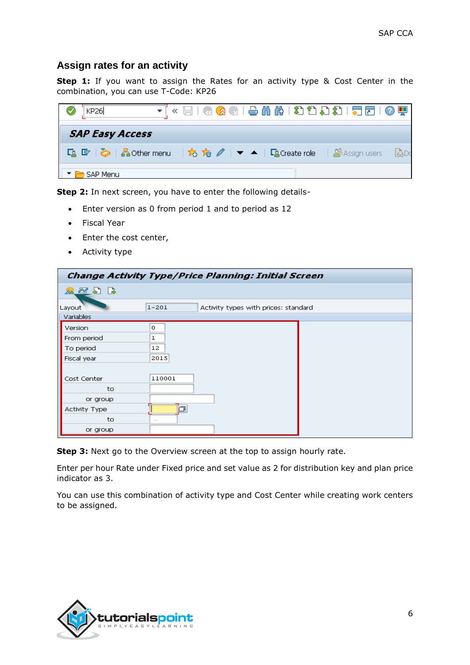#### **Assign rates for an activity**

**Step 1:** If you want to assign the Rates for an activity type & Cost Center in the combination, you can use T-Code: KP26



**Step 2:** In next screen, you have to enter the following details-

- Enter version as 0 from period 1 and to period as 12
- Fiscal Year
- Enter the cost center,
- Activity type

|                                     | Change Activity Type/Price Planning: Initial Screen |
|-------------------------------------|-----------------------------------------------------|
| $\mathbb{Z} \boxtimes \mathbb{Z}$ b |                                                     |
| Layout                              | $1 - 201$<br>Activity types with prices: standard   |
| <b>Variables</b>                    |                                                     |
| Version                             | 0                                                   |
| From period                         | ı                                                   |
| To period                           | 12                                                  |
| Fiscal year                         | 2015                                                |
|                                     |                                                     |
| Cost Center                         | 110001                                              |
| to                                  |                                                     |
| or group                            |                                                     |
| <b>Activity Type</b>                |                                                     |
| to                                  | <b>COL</b>                                          |
| or group                            |                                                     |

**Step 3:** Next go to the Overview screen at the top to assign hourly rate.

Enter per hour Rate under Fixed price and set value as 2 for distribution key and plan price indicator as 3.

You can use this combination of activity type and Cost Center while creating work centers to be assigned.

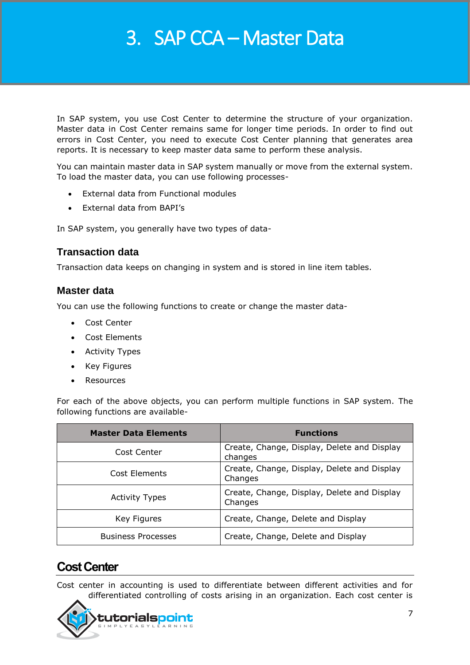# 3. SAP CCA – Master Data

In SAP system, you use Cost Center to determine the structure of your organization. Master data in Cost Center remains same for longer time periods. In order to find out errors in Cost Center, you need to execute Cost Center planning that generates area reports. It is necessary to keep master data same to perform these analysis.

You can maintain master data in SAP system manually or move from the external system. To load the master data, you can use following processes-

- External data from Functional modules
- External data from BAPI's

In SAP system, you generally have two types of data-

#### **Transaction data**

Transaction data keeps on changing in system and is stored in line item tables.

#### **Master data**

You can use the following functions to create or change the master data-

- Cost Center
- Cost Elements
- Activity Types
- Key Figures
- Resources

For each of the above objects, you can perform multiple functions in SAP system. The following functions are available-

| <b>Master Data Elements</b> | <b>Functions</b>                                       |
|-----------------------------|--------------------------------------------------------|
| Cost Center                 | Create, Change, Display, Delete and Display<br>changes |
| Cost Elements               | Create, Change, Display, Delete and Display<br>Changes |
| <b>Activity Types</b>       | Create, Change, Display, Delete and Display<br>Changes |
| Key Figures                 | Create, Change, Delete and Display                     |
| <b>Business Processes</b>   | Create, Change, Delete and Display                     |

## **Cost Center**

Cost center in accounting is used to differentiate between different activities and for differentiated controlling of costs arising in an organization. Each cost center is

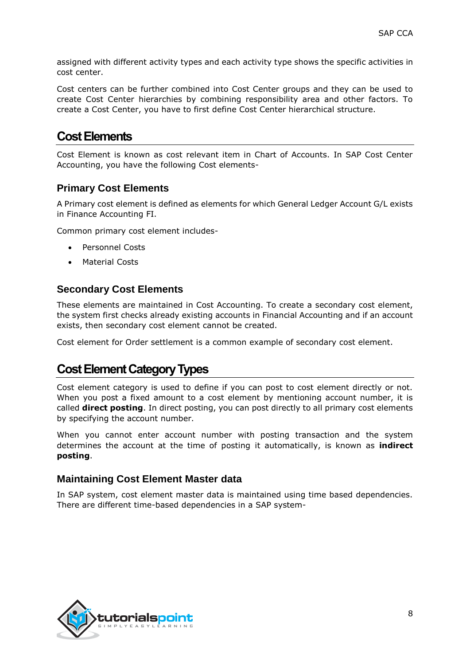assigned with different activity types and each activity type shows the specific activities in cost center.

Cost centers can be further combined into Cost Center groups and they can be used to create Cost Center hierarchies by combining responsibility area and other factors. To create a Cost Center, you have to first define Cost Center hierarchical structure.

## **Cost Elements**

Cost Element is known as cost relevant item in Chart of Accounts. In SAP Cost Center Accounting, you have the following Cost elements-

#### **Primary Cost Elements**

A Primary cost element is defined as elements for which General Ledger Account G/L exists in Finance Accounting FI.

Common primary cost element includes-

- Personnel Costs
- Material Costs

#### **Secondary Cost Elements**

These elements are maintained in Cost Accounting. To create a secondary cost element, the system first checks already existing accounts in Financial Accounting and if an account exists, then secondary cost element cannot be created.

Cost element for Order settlement is a common example of secondary cost element.

## **Cost Element Category Types**

Cost element category is used to define if you can post to cost element directly or not. When you post a fixed amount to a cost element by mentioning account number, it is called **direct posting**. In direct posting, you can post directly to all primary cost elements by specifying the account number.

When you cannot enter account number with posting transaction and the system determines the account at the time of posting it automatically, is known as **indirect posting**.

#### **Maintaining Cost Element Master data**

In SAP system, cost element master data is maintained using time based dependencies. There are different time-based dependencies in a SAP system-

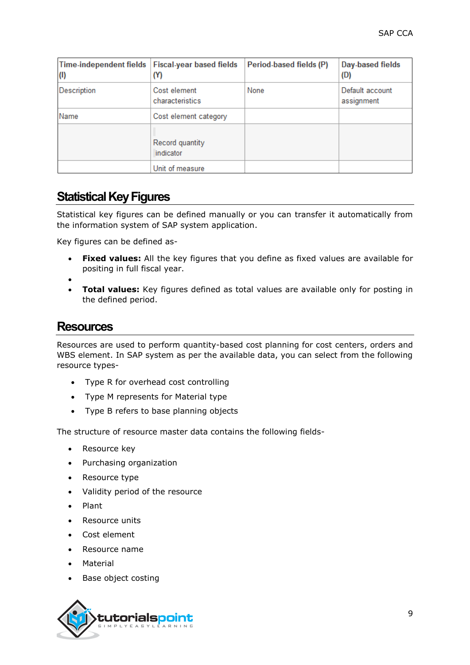| <b>Time-independent fields</b><br>(1) | <b>Fiscal-year based fields</b><br>(Y) | Period-based fields (P) | Day-based fields<br>(D)       |
|---------------------------------------|----------------------------------------|-------------------------|-------------------------------|
| Description                           | Cost element<br>characteristics        | None                    | Default account<br>assignment |
| Name                                  | Cost element category                  |                         |                               |
|                                       | Record quantity<br>indicator           |                         |                               |
|                                       | Unit of measure                        |                         |                               |

# **Statistical Key Figures**

Statistical key figures can be defined manually or you can transfer it automatically from the information system of SAP system application.

Key figures can be defined as-

- **Fixed values:** All the key figures that you define as fixed values are available for positing in full fiscal year.
- $\bullet$
- **Total values:** Key figures defined as total values are available only for posting in the defined period.

### **Resources**

Resources are used to perform quantity-based cost planning for cost centers, orders and WBS element. In SAP system as per the available data, you can select from the following resource types-

- Type R for overhead cost controlling
- Type M represents for Material type
- Type B refers to base planning objects

The structure of resource master data contains the following fields-

- Resource key
- Purchasing organization
- Resource type
- Validity period of the resource
- Plant
- Resource units
- Cost element
- Resource name
- Material
- Base object costing

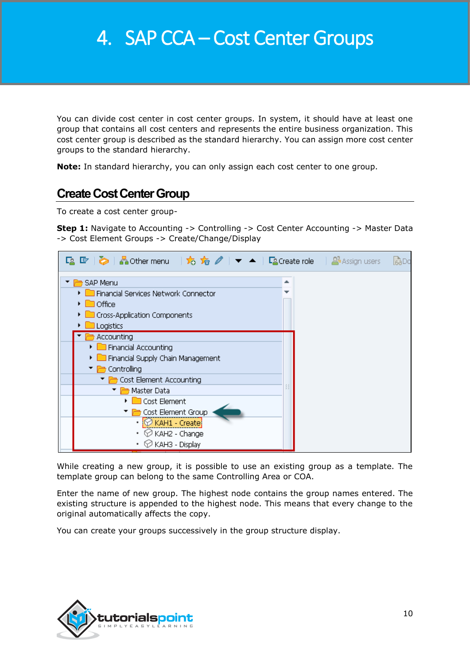You can divide cost center in cost center groups. In system, it should have at least one group that contains all cost centers and represents the entire business organization. This cost center group is described as the standard hierarchy. You can assign more cost center groups to the standard hierarchy.

**Note:** In standard hierarchy, you can only assign each cost center to one group.

## **Create Cost Center Group**

To create a cost center group-

**Step 1:** Navigate to Accounting -> Controlling -> Cost Center Accounting -> Master Data -> Cost Element Groups -> Create/Change/Display

|                                                                                                                                         | 局Do |
|-----------------------------------------------------------------------------------------------------------------------------------------|-----|
| SAP Menu<br>ዹ<br>Financial Services Network Connector<br>$\Box$ Office<br>Cross-Application Components<br>Logistics                     |     |
| Accounting<br>Financial Accounting<br>Financial Supply Chain Management<br>Controlling<br><b>Cost Element Accounting</b>                |     |
| Master Data<br>Cost Element<br><b>Cost Element Group</b><br>$\cdot$ $\circledcirc$ KAH1 - Create<br>∅ КАН2 - Change<br>♡ КАНЗ - Display |     |

While creating a new group, it is possible to use an existing group as a template. The template group can belong to the same Controlling Area or COA.

Enter the name of new group. The highest node contains the group names entered. The existing structure is appended to the highest node. This means that every change to the original automatically affects the copy.

You can create your groups successively in the group structure display.

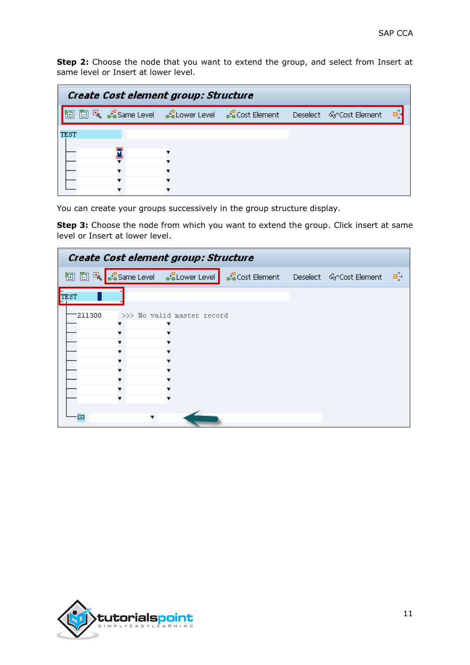**Step 2:** Choose the node that you want to extend the group, and select from Insert at same level or Insert at lower level.

| Create Cost element group: Structure |  |  |                                                                               |  |  |  |  |  |
|--------------------------------------|--|--|-------------------------------------------------------------------------------|--|--|--|--|--|
|                                      |  |  | 面 R、路same Level → Rallower Level → RaCost Element → Deselect → GrCost Element |  |  |  |  |  |
| TEST                                 |  |  |                                                                               |  |  |  |  |  |
|                                      |  |  |                                                                               |  |  |  |  |  |
|                                      |  |  |                                                                               |  |  |  |  |  |
|                                      |  |  |                                                                               |  |  |  |  |  |
|                                      |  |  |                                                                               |  |  |  |  |  |

You can create your groups successively in the group structure display.

**Step 3:** Choose the node from which you want to extend the group. Click insert at same level or Insert at lower level.

| Create Cost element group: Structure |  |                                |                                                           |  |  |   |  |  |  |  |
|--------------------------------------|--|--------------------------------|-----------------------------------------------------------|--|--|---|--|--|--|--|
| 囿                                    |  | □ 喝 Same Level   SeLower Level | <sub>■</sub> £■Cost Element Deselect < < < < Cost Element |  |  | 呼 |  |  |  |  |
| TEST                                 |  |                                |                                                           |  |  |   |  |  |  |  |
| 211300                               |  | >>> No valid master record     |                                                           |  |  |   |  |  |  |  |
|                                      |  |                                |                                                           |  |  |   |  |  |  |  |
|                                      |  |                                |                                                           |  |  |   |  |  |  |  |
|                                      |  |                                |                                                           |  |  |   |  |  |  |  |
|                                      |  |                                |                                                           |  |  |   |  |  |  |  |
| ⊟                                    |  |                                |                                                           |  |  |   |  |  |  |  |

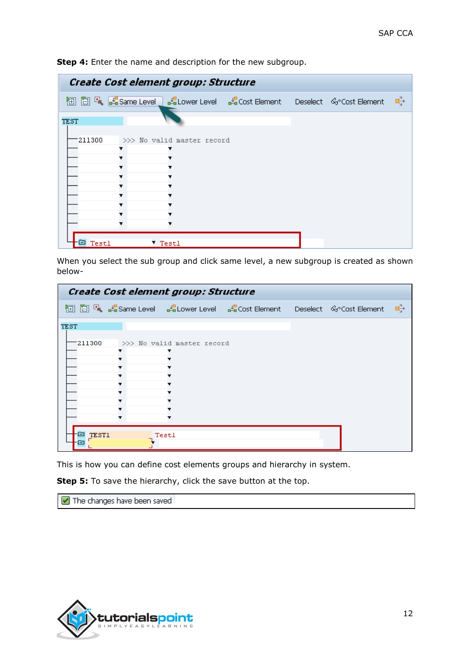| <b>h</b> □ 【 【 【 Same Level 】 【 Lower Level 【 Lenst Element Deselect 《 Cost Element<br>−ਥੰ |  |  |  |  |  |  |  |  |  |
|--------------------------------------------------------------------------------------------|--|--|--|--|--|--|--|--|--|
|                                                                                            |  |  |  |  |  |  |  |  |  |
| TEST                                                                                       |  |  |  |  |  |  |  |  |  |
| 211300<br>>>> No valid master record                                                       |  |  |  |  |  |  |  |  |  |
|                                                                                            |  |  |  |  |  |  |  |  |  |
|                                                                                            |  |  |  |  |  |  |  |  |  |
|                                                                                            |  |  |  |  |  |  |  |  |  |
|                                                                                            |  |  |  |  |  |  |  |  |  |
| Testl<br>T Testl<br>▭                                                                      |  |  |  |  |  |  |  |  |  |

**Step 4:** Enter the name and description for the new subgroup.

When you select the sub group and click same level, a new subgroup is created as shown below-

| Create Cost element group: Structure |                   |  |                            |                                                                                 |  |  |    |  |  |  |
|--------------------------------------|-------------------|--|----------------------------|---------------------------------------------------------------------------------|--|--|----|--|--|--|
|                                      |                   |  |                            | <b>h</b> □ □ 【 【Same Level 【 Lower Level 【 Cost Element Deselect 《 Cost Element |  |  | ਾੳ |  |  |  |
| TEST                                 |                   |  |                            |                                                                                 |  |  |    |  |  |  |
|                                      | 211300            |  | >>> No valid master record |                                                                                 |  |  |    |  |  |  |
|                                      |                   |  |                            |                                                                                 |  |  |    |  |  |  |
|                                      |                   |  |                            |                                                                                 |  |  |    |  |  |  |
|                                      |                   |  |                            |                                                                                 |  |  |    |  |  |  |
|                                      |                   |  |                            |                                                                                 |  |  |    |  |  |  |
|                                      |                   |  |                            |                                                                                 |  |  |    |  |  |  |
|                                      |                   |  |                            |                                                                                 |  |  |    |  |  |  |
|                                      |                   |  |                            |                                                                                 |  |  |    |  |  |  |
|                                      | <b>TEST1</b><br>∍ |  | Testl                      |                                                                                 |  |  |    |  |  |  |
|                                      |                   |  |                            |                                                                                 |  |  |    |  |  |  |

This is how you can define cost elements groups and hierarchy in system.

**Step 5:** To save the hierarchy, click the save button at the top.

The changes have been saved